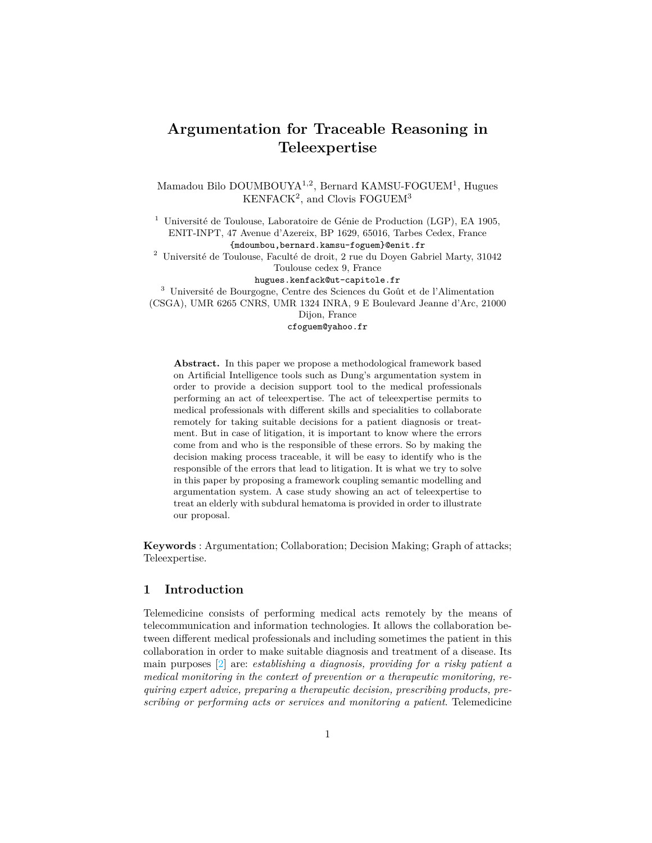# **Argumentation for Traceable Reasoning in Teleexpertise**

Mamadou Bilo DOUMBOUYA<sup>1,2</sup>, Bernard KAMSU-FOGUEM<sup>1</sup>, Hugues KENFACK<sup>2</sup>, and Clovis FOGUEM<sup>3</sup>

<sup>1</sup> Université de Toulouse, Laboratoire de Génie de Production (LGP), EA 1905, ENIT-INPT, 47 Avenue d'Azereix, BP 1629, 65016, Tarbes Cedex, France {mdoumbou,bernard.kamsu-foguem}@enit.fr

 $^2$ Université de Toulouse, Faculté de droit,  $2$ rue du Doyen Gabriel Marty,  $31042$ Toulouse cedex 9, France

hugues.kenfack@ut-capitole.fr

<sup>3</sup> Université de Bourgogne, Centre des Sciences du Goût et de l'Alimentation (CSGA), UMR 6265 CNRS, UMR 1324 INRA, 9 E Boulevard Jeanne d'Arc, 21000

Dijon, France

cfoguem@yahoo.fr

**Abstract.** In this paper we propose a methodological framework based on Artificial Intelligence tools such as Dung's argumentation system in order to provide a decision support tool to the medical professionals performing an act of teleexpertise. The act of teleexpertise permits to medical professionals with different skills and specialities to collaborate remotely for taking suitable decisions for a patient diagnosis or treatment. But in case of litigation, it is important to know where the errors come from and who is the responsible of these errors. So by making the decision making process traceable, it will be easy to identify who is the responsible of the errors that lead to litigation. It is what we try to solve in this paper by proposing a framework coupling semantic modelling and argumentation system. A case study showing an act of teleexpertise to treat an elderly with subdural hematoma is provided in order to illustrate our proposal.

**Keywords** : Argumentation; Collaboration; Decision Making; Graph of attacks; Teleexpertise.

# **1 Introduction**

Telemedicine consists of performing medical acts remotely by the means of telecommunication and information technologies. It allows the collaboration between different medical professionals and including sometimes the patient in this collaboration in order to make suitable diagnosis and treatment of a disease. Its main purposes [2] are: *establishing a diagnosis, providing for a risky patient a medical monitoring in the context of prevention or a therapeutic monitoring, requiring expert advice, preparing a therapeutic decision, prescribing products, prescribing or performing acts or services and monitoring a patient*. Telemedicine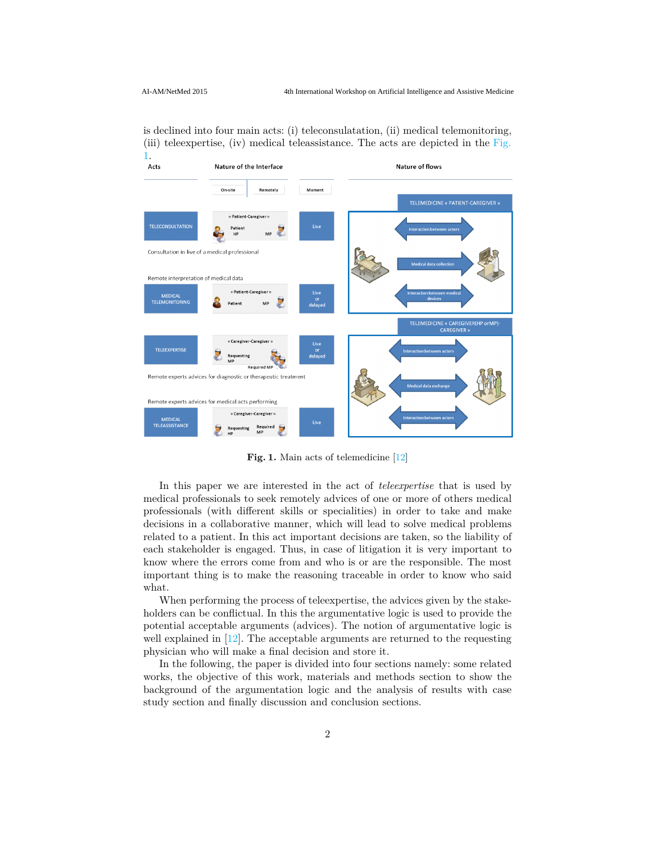is declined into four main acts: (i) teleconsulatation, (ii) medical telemonitoring, (iii) teleexpertise, (iv) medical teleassistance. The acts are depicted in the Fig.



Fig. 1. Main acts of telemedicine [12]

In this paper we are interested in the act of *teleexpertise* that is used by medical professionals to seek remotely advices of one or more of others medical professionals (with different skills or specialities) in order to take and make decisions in a collaborative manner, which will lead to solve medical problems related to a patient. In this act important decisions are taken, so the liability of each stakeholder is engaged. Thus, in case of litigation it is very important to know where the errors come from and who is or are the responsible. The most important thing is to make the reasoning traceable in order to know who said what.

When performing the process of teleexpertise, the advices given by the stakeholders can be conflictual. In this the argumentative logic is used to provide the potential acceptable arguments (advices). The notion of argumentative logic is well explained in  $[12]$ . The acceptable arguments are returned to the requesting physician who will make a final decision and store it.

In the following, the paper is divided into four sections namely: some related works, the objective of this work, materials and methods section to show the background of the argumentation logic and the analysis of results with case study section and finally discussion and conclusion sections.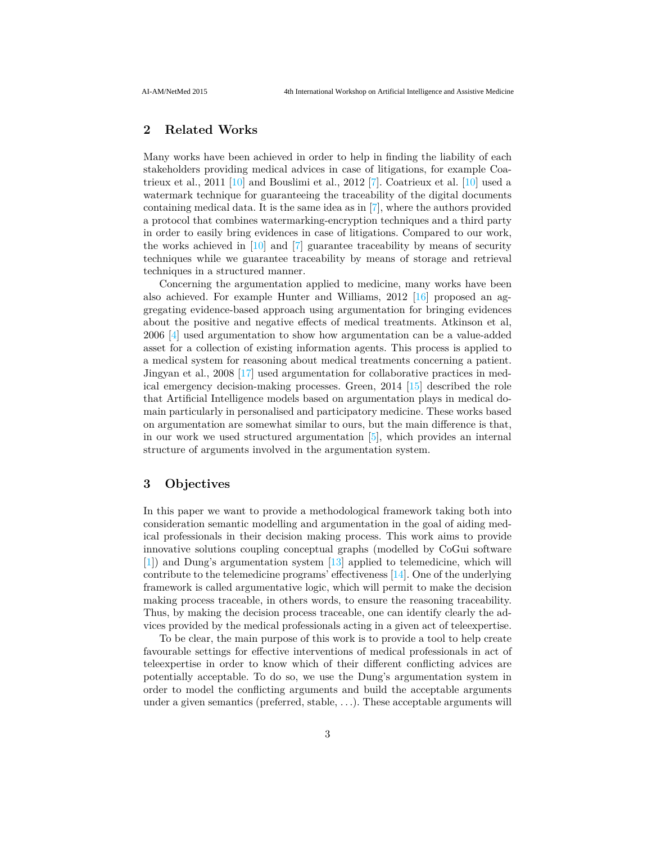# **2 Related Works**

Many works have been achieved in order to help in finding the liability of each stakeholders providing medical advices in case of litigations, for example Coatrieux et al., 2011 [10] and Bouslimi et al., 2012 [7]. Coatrieux et al. [10] used a watermark technique for guaranteeing the traceability of the digital documents containing medical data. It is the same idea as in [7], where the authors provided a protocol that combines watermarking-encryption techniques and a third party in order to easily bring evidences in case of litigations. Compared to our work, the works achieved in [10] and [7] guarantee traceability by means of security techniques while we guarantee traceability by means of storage and retrieval techniques in a structured manner.

Concerning the argumentation applied to medicine, many works have been also achieved. For example Hunter and Williams, 2012 [16] proposed an aggregating evidence-based approach using argumentation for bringing evidences about the positive and negative effects of medical treatments. Atkinson et al, 2006 [4] used argumentation to show how argumentation can be a value-added asset for a collection of existing information agents. This process is applied to a medical system for reasoning about medical treatments concerning a patient. Jingyan et al., 2008 [17] used argumentation for collaborative practices in medical emergency decision-making processes. Green, 2014 [15] described the role that Artificial Intelligence models based on argumentation plays in medical domain particularly in personalised and participatory medicine. These works based on argumentation are somewhat similar to ours, but the main difference is that, in our work we used structured argumentation [5], which provides an internal structure of arguments involved in the argumentation system.

# **3 Objectives**

In this paper we want to provide a methodological framework taking both into consideration semantic modelling and argumentation in the goal of aiding medical professionals in their decision making process. This work aims to provide innovative solutions coupling conceptual graphs (modelled by CoGui software [1]) and Dung's argumentation system [13] applied to telemedicine, which will contribute to the telemedicine programs' effectiveness [14]. One of the underlying framework is called argumentative logic, which will permit to make the decision making process traceable, in others words, to ensure the reasoning traceability. Thus, by making the decision process traceable, one can identify clearly the advices provided by the medical professionals acting in a given act of teleexpertise.

To be clear, the main purpose of this work is to provide a tool to help create favourable settings for effective interventions of medical professionals in act of teleexpertise in order to know which of their different conflicting advices are potentially acceptable. To do so, we use the Dung's argumentation system in order to model the conflicting arguments and build the acceptable arguments under a given semantics (preferred, stable, *. . .*). These acceptable arguments will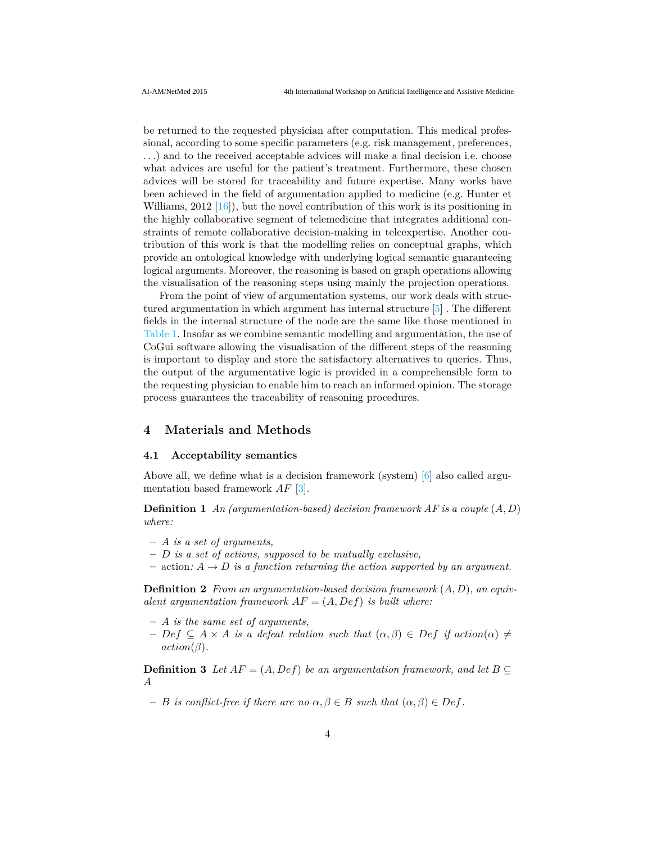be returned to the requested physician after computation. This medical professional, according to some specific parameters (e.g. risk management, preferences, *. . .*) and to the received acceptable advices will make a final decision i.e. choose what advices are useful for the patient's treatment. Furthermore, these chosen advices will be stored for traceability and future expertise. Many works have been achieved in the field of argumentation applied to medicine (e.g. Hunter et Williams,  $2012 \left[16\right]$ , but the novel contribution of this work is its positioning in the highly collaborative segment of telemedicine that integrates additional constraints of remote collaborative decision-making in teleexpertise. Another contribution of this work is that the modelling relies on conceptual graphs, which provide an ontological knowledge with underlying logical semantic guaranteeing logical arguments. Moreover, the reasoning is based on graph operations allowing the visualisation of the reasoning steps using mainly the projection operations.

From the point of view of argumentation systems, our work deals with structured argumentation in which argument has internal structure [5] . The different fields in the internal structure of the node are the same like those mentioned in Table 1. Insofar as we combine semantic modelling and argumentation, the use of CoGui software allowing the visualisation of the different steps of the reasoning is important to display and store the satisfactory alternatives to queries. Thus, the output of the argumentative logic is provided in a comprehensible form to the requesting physician to enable him to reach an informed opinion. The storage process guarantees the traceability of reasoning procedures.

# **4 Materials and Methods**

#### **4.1 Acceptability semantics**

Above all, we define what is a decision framework (system) [6] also called argumentation based framework *AF* [3].

**Definition 1** *An (argumentation-based) decision framework AF is a couple* (*A, D*) *where:*

- **–** *A is a set of arguments,*
- **–** *D is a set of actions, supposed to be mutually exclusive,*
- $-$  action:  $A \rightarrow D$  *is a function returning the action supported by an argument.*

**Definition 2** *From an argumentation-based decision framework* (*A, D*)*, an equivalent argumentation framework*  $AF = (A, Def)$  *is built where:* 

- **–** *A is the same set of arguments,*
- $P$  − *Def* ⊆ *A* × *A is a defeat relation such that*  $(α, β) ∈ Def if action(α) ≠$  $action(\beta)$ .

**Definition 3** *Let*  $AF = (A, Def)$  *be an argumentation framework, and let*  $B \subseteq$ *A*

 $P - B$  *is conflict-free if there are no*  $\alpha, \beta \in B$  *such that*  $(\alpha, \beta) \in Def$ .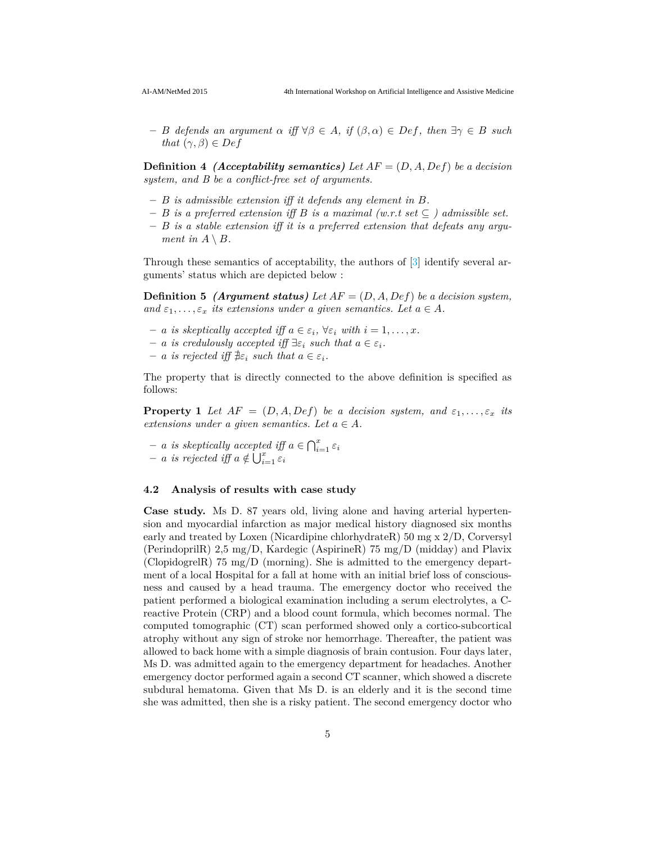$P - B$  *defends an argument*  $\alpha$  *iff*  $\forall \beta \in A$ *, if*  $(\beta, \alpha) \in Def$ *, then*  $\exists \gamma \in B$  *such that*  $(\gamma, \beta) \in Def$ 

**Definition 4** *(Acceptability semantics) Let AF* = (*D, A, Def*) *be a decision system, and B be a conflict-free set of arguments.*

- **–** *B is admissible extension iff it defends any element in B.*
- **–** *B is a preferred extension iff B is a maximal (w.r.t set* ⊆ *) admissible set.*
- **–** *B is a stable extension iff it is a preferred extension that defeats any argument in*  $A \setminus B$ *.*

Through these semantics of acceptability, the authors of [3] identify several arguments' status which are depicted below :

**Definition 5** *(Argument status) Let AF* = (*D, A, Def*) *be a decision system, and*  $\varepsilon_1, \ldots, \varepsilon_x$  *its extensions under a given semantics. Let*  $a \in A$ .

- $-$  *a is skeptically accepted iff*  $a \in \varepsilon_i$ ,  $\forall \varepsilon_i$  *with*  $i = 1, \ldots, x$ *.*
- $-$  *a is credulously accepted iff*  $\exists \varepsilon_i$  *such that*  $a \in \varepsilon_i$ *.*
- $a$  *is rejected iff*  $\exists \varepsilon_i$  *such that*  $a \in \varepsilon_i$ *.*

The property that is directly connected to the above definition is specified as follows:

**Property 1** *Let*  $AF = (D, A, Def)$  *be a decision system, and*  $\varepsilon_1, \ldots, \varepsilon_r$  *its extensions under a given semantics. Let*  $a \in A$ .

 $- a$  *is skeptically accepted iff*  $a \in \bigcap_{i=1}^x \varepsilon_i$  $-$  *a is rejected iff*  $a \notin \bigcup_{i=1}^{x} \tilde{\varepsilon}_i$ 

## **4.2 Analysis of results with case study**

**Case study.** Ms D. 87 years old, living alone and having arterial hypertension and myocardial infarction as major medical history diagnosed six months early and treated by Loxen (Nicardipine chlorhydrateR) 50 mg x 2/D, Corversyl (PerindoprilR) 2,5 mg/D, Kardegic (AspirineR) 75 mg/D (midday) and Plavix (ClopidogrelR) 75 mg/D (morning). She is admitted to the emergency department of a local Hospital for a fall at home with an initial brief loss of consciousness and caused by a head trauma. The emergency doctor who received the patient performed a biological examination including a serum electrolytes, a Creactive Protein (CRP) and a blood count formula, which becomes normal. The computed tomographic (CT) scan performed showed only a cortico-subcortical atrophy without any sign of stroke nor hemorrhage. Thereafter, the patient was allowed to back home with a simple diagnosis of brain contusion. Four days later, Ms D. was admitted again to the emergency department for headaches. Another emergency doctor performed again a second CT scanner, which showed a discrete subdural hematoma. Given that Ms D. is an elderly and it is the second time she was admitted, then she is a risky patient. The second emergency doctor who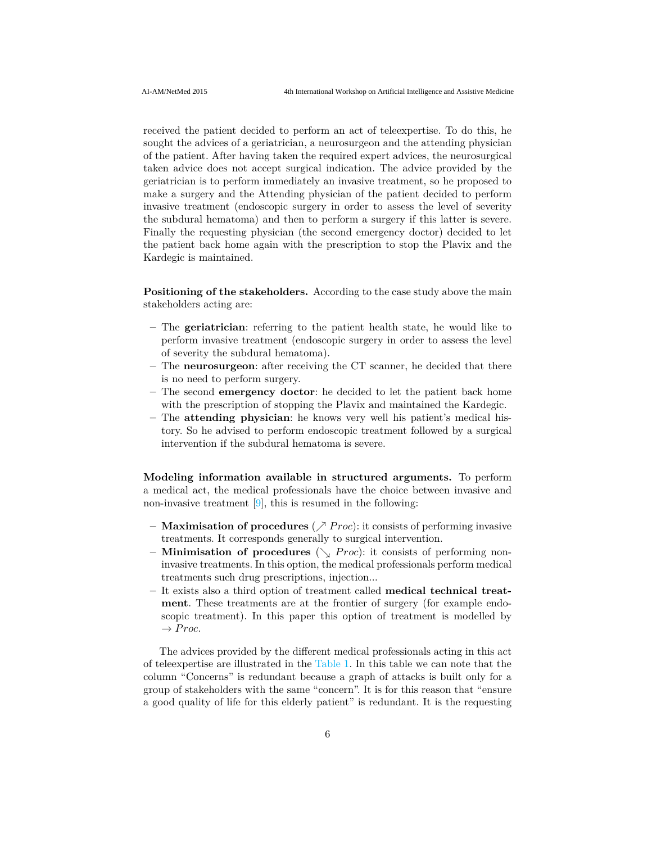received the patient decided to perform an act of teleexpertise. To do this, he sought the advices of a geriatrician, a neurosurgeon and the attending physician of the patient. After having taken the required expert advices, the neurosurgical taken advice does not accept surgical indication. The advice provided by the geriatrician is to perform immediately an invasive treatment, so he proposed to make a surgery and the Attending physician of the patient decided to perform invasive treatment (endoscopic surgery in order to assess the level of severity the subdural hematoma) and then to perform a surgery if this latter is severe. Finally the requesting physician (the second emergency doctor) decided to let the patient back home again with the prescription to stop the Plavix and the Kardegic is maintained.

**Positioning of the stakeholders.** According to the case study above the main stakeholders acting are:

- **–** The **geriatrician**: referring to the patient health state, he would like to perform invasive treatment (endoscopic surgery in order to assess the level of severity the subdural hematoma).
- **–** The **neurosurgeon**: after receiving the CT scanner, he decided that there is no need to perform surgery.
- **–** The second **emergency doctor**: he decided to let the patient back home with the prescription of stopping the Plavix and maintained the Kardegic.
- **–** The **attending physician**: he knows very well his patient's medical history. So he advised to perform endoscopic treatment followed by a surgical intervention if the subdural hematoma is severe.

**Modeling information available in structured arguments.** To perform a medical act, the medical professionals have the choice between invasive and non-invasive treatment  $[9]$ , this is resumed in the following:

- **– Maximisation of procedures** ( $\nearrow$  *Proc*): it consists of performing invasive treatments. It corresponds generally to surgical intervention.
- **Minimisation of procedures**  $(\searrow$  *Proc*): it consists of performing noninvasive treatments. In this option, the medical professionals perform medical treatments such drug prescriptions, injection...
- **–** It exists also a third option of treatment called **medical technical treatment**. These treatments are at the frontier of surgery (for example endoscopic treatment). In this paper this option of treatment is modelled by  $\rightarrow Proc.$

The advices provided by the different medical professionals acting in this act of teleexpertise are illustrated in the Table 1. In this table we can note that the column "Concerns" is redundant because a graph of attacks is built only for a group of stakeholders with the same "concern". It is for this reason that "ensure a good quality of life for this elderly patient" is redundant. It is the requesting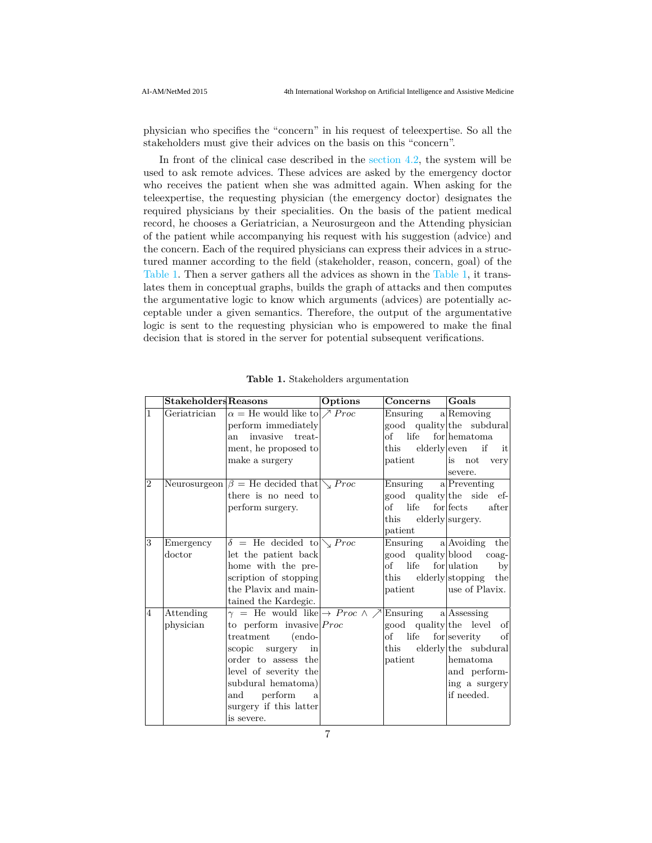physician who specifies the "concern" in his request of teleexpertise. So all the stakeholders must give their advices on the basis on this "concern".

In front of the clinical case described in the section 4.2, the system will be used to ask remote advices. These advices are asked by the emergency doctor who receives the patient when she was admitted again. When asking for the teleexpertise, the requesting physician (the emergency doctor) designates the required physicians by their specialities. On the basis of the patient medical record, he chooses a Geriatrician, a Neurosurgeon and the Attending physician of the patient while accompanying his request with his suggestion (advice) and the concern. Each of the required physicians can express their advices in a structured manner according to the field (stakeholder, reason, concern, goal) of the Table 1. Then a server gathers all the advices as shown in the Table 1, it translates them in conceptual graphs, builds the graph of attacks and then computes the argumentative logic to know which arguments (advices) are potentially acceptable under a given semantics. Therefore, the output of the argumentative logic is sent to the requesting physician who is empowered to make the final decision that is stored in the server for potential subsequent verifications.

|                |              | ${\bf Stakeholders}$ Reasons                                 | Options | Concerns                         | Goals                  |
|----------------|--------------|--------------------------------------------------------------|---------|----------------------------------|------------------------|
| 1              | Geriatrician | $\alpha =$ He would like to $\nearrow$ Proc                  |         | $Ensuring \quad a   Removinging$ |                        |
|                |              | perform immediately                                          |         | good quality the subdural        |                        |
|                |              | invasive treat-<br>an                                        |         | of life                          | for hematoma           |
|                |              | ment, he proposed to                                         |         | this                             | $elderly even$ if it   |
|                |              | make a surgery                                               |         | patient                          | is not very            |
|                |              |                                                              |         |                                  | severe.                |
| $\overline{2}$ |              | Neurosurgeon $\beta =$ He decided that $\sum$ <i>Proc</i>    |         | $Ensuring \qquad a Preventing$   |                        |
|                |              | there is no need to                                          |         | good quality the side ef-        |                        |
|                |              | perform surgery.                                             |         | of life for fects                | after                  |
|                |              |                                                              |         | $_{\rm this}$                    | elderly surgery.       |
|                |              |                                                              |         | patient                          |                        |
| 3              | Emergency    | $\delta$ = He decided to $\sqrt{P}$ <i>Proc</i>              |         | Ensuring $a $ Avoiding the       |                        |
|                | doctor       | let the patient back                                         |         | good quality blood coag-         |                        |
|                |              | home with the pre-                                           |         | of life                          | $for$ ulation<br>by    |
|                |              | scription of stopping                                        |         | $_{\rm this}$                    | elderly stopping the   |
|                |              | the Plavix and main-                                         |         | patient                          | luse of Plavix.        |
|                |              | tained the Kardegic.                                         |         |                                  |                        |
| $\overline{4}$ | Attending    | $\gamma$ = He would like $\rightarrow$ Proc $\land \nearrow$ |         | Ensuring $a Assessing$           |                        |
|                | physician    | to perform invasive $Proc$                                   |         | good quality the level of        |                        |
|                |              | treatment<br>endo-                                           |         | life<br>оf                       | $for$ severity<br>- of |
|                |              | scopic surgery in                                            |         | this                             | elderly the subdural   |
|                |              | order to assess the                                          |         | patient                          | lhematoma              |
|                |              | level of severity the                                        |         |                                  | and perform-           |
|                |              | subdural hematoma)                                           |         |                                  | ing a surgery          |
|                |              | and perform<br>$\mathbf{a}$                                  |         |                                  | if needed.             |
|                |              | surgery if this latter                                       |         |                                  |                        |
|                |              | is severe.                                                   |         |                                  |                        |

**Table 1.** Stakeholders argumentation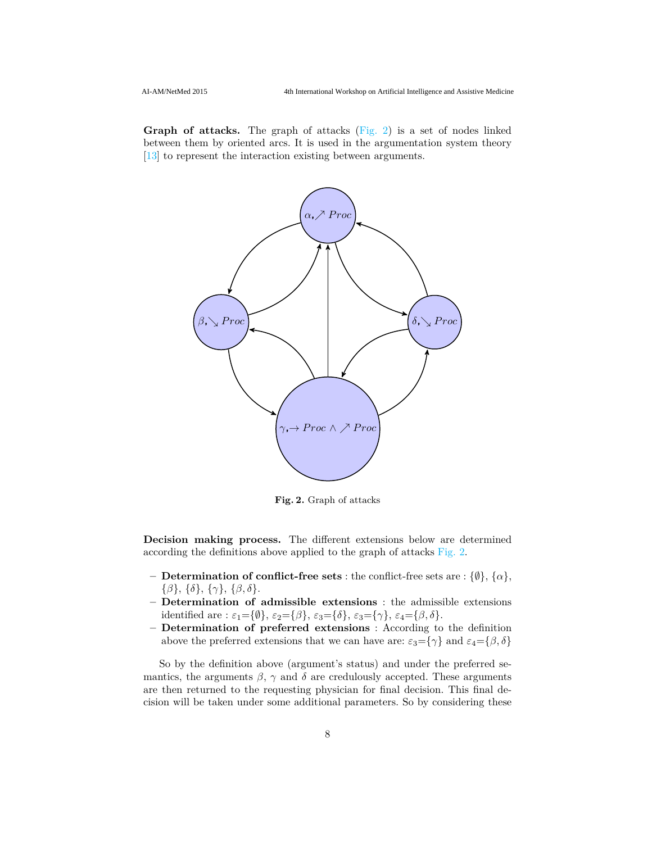**Graph of attacks.** The graph of attacks (Fig. 2) is a set of nodes linked between them by oriented arcs. It is used in the argumentation system theory [13] to represent the interaction existing between arguments.



**Fig. 2.** Graph of attacks

**Decision making process.** The different extensions below are determined according the definitions above applied to the graph of attacks Fig. 2.

- **– Determination of conflict-free sets** : the conflict-free sets are : {∅}, {*α*}, {*β*}, {*δ*}, {*γ*}, {*β, δ*}.
- **– Determination of admissible extensions** : the admissible extensions identified are :  $\varepsilon_1 = {\emptyset}$ ,  $\varepsilon_2 = {\emptyset}$ ,  $\varepsilon_3 = {\{\delta\}}$ ,  $\varepsilon_3 = {\{\gamma\}}$ ,  $\varepsilon_4 = {\{\beta,\delta\}}$ .
- **– Determination of preferred extensions** : According to the definition above the preferred extensions that we can have are:  $\varepsilon_3 = {\gamma}$  and  $\varepsilon_4 = {\beta, \delta}$

So by the definition above (argument's status) and under the preferred semantics, the arguments  $\beta$ ,  $\gamma$  and  $\delta$  are credulously accepted. These arguments are then returned to the requesting physician for final decision. This final decision will be taken under some additional parameters. So by considering these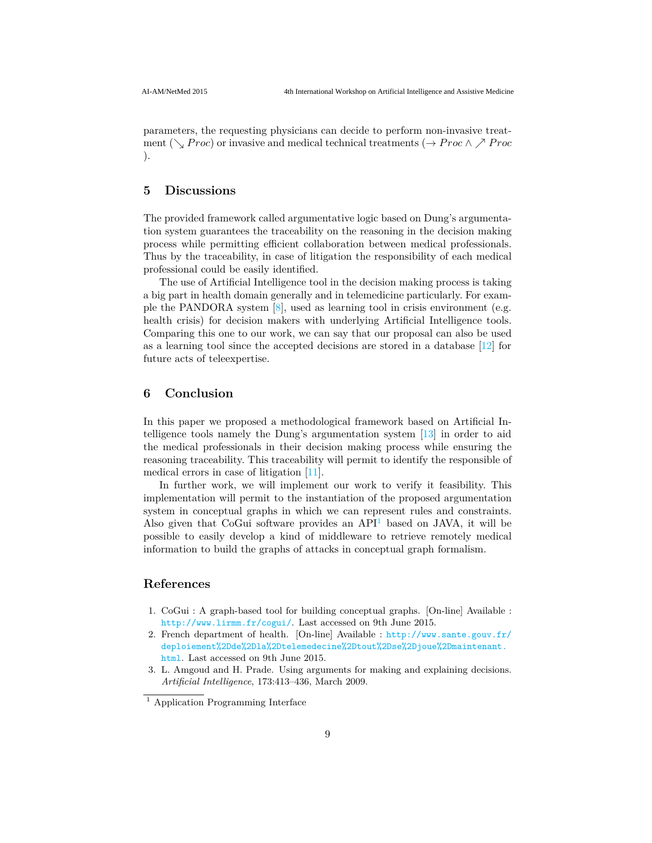parameters, the requesting physicians can decide to perform non-invasive treatment ( $\searrow$  *Proc*) or invasive and medical technical treatments ( $\rightarrow$  *Proc*  $\wedge$   $\nearrow$  *Proc* ).

## **5 Discussions**

The provided framework called argumentative logic based on Dung's argumentation system guarantees the traceability on the reasoning in the decision making process while permitting efficient collaboration between medical professionals. Thus by the traceability, in case of litigation the responsibility of each medical professional could be easily identified.

The use of Artificial Intelligence tool in the decision making process is taking a big part in health domain generally and in telemedicine particularly. For example the PANDORA system  $[8]$ , used as learning tool in crisis environment (e.g. health crisis) for decision makers with underlying Artificial Intelligence tools. Comparing this one to our work, we can say that our proposal can also be used as a learning tool since the accepted decisions are stored in a database [12] for future acts of teleexpertise.

## **6 Conclusion**

In this paper we proposed a methodological framework based on Artificial Intelligence tools namely the Dung's argumentation system [13] in order to aid the medical professionals in their decision making process while ensuring the reasoning traceability. This traceability will permit to identify the responsible of medical errors in case of litigation [11].

In further work, we will implement our work to verify it feasibility. This implementation will permit to the instantiation of the proposed argumentation system in conceptual graphs in which we can represent rules and constraints. Also given that CoGui software provides an  $API<sup>1</sup>$  based on JAVA, it will be possible to easily develop a kind of middleware to retrieve remotely medical information to build the graphs of attacks in conceptual graph formalism.

# **References**

- 1. CoGui : A graph-based tool for building conceptual graphs. [On-line] Available : http://www.lirmm.fr/cogui/. Last accessed on 9th June 2015.
- 2. French department of health. [On-line] Available : http://www.sante.gouv.fr/ deploiement%2Dde%2Dla%2Dtelemedecine%2Dtout%2Dse%2Djoue%2Dmaintenant. html. Last accessed on 9th June 2015.
- 3. L. Amgoud and H. Prade. Using arguments for making and explaining decisions. *Artificial Intelligence*, 173:413–436, March 2009.

<sup>&</sup>lt;sup>1</sup> Application Programming Interface